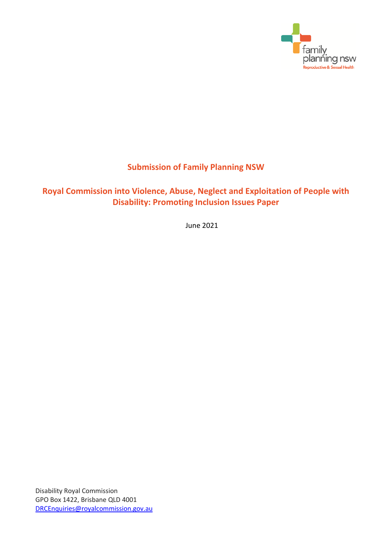

# **Submission of Family Planning NSW**

# **Royal Commission into Violence, Abuse, Neglect and Exploitation of People with Disability: Promoting Inclusion Issues Paper**

June 2021

Disability Royal Commission GPO Box 1422, Brisbane QLD 4001 [DRCEnquiries@royalcommission.gov.au](mailto:DRCEnquiries@royalcommission.gov.au)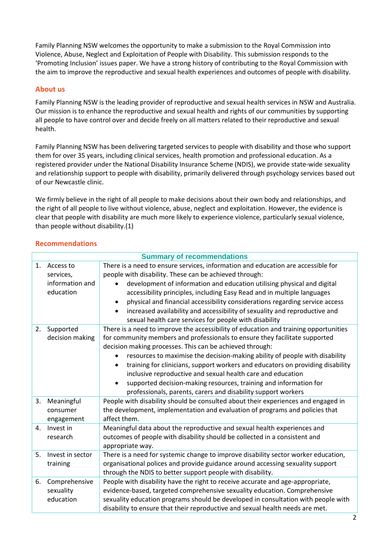Family Planning NSW welcomes the opportunity to make a submission to the Royal Commission into Violence, Abuse, Neglect and Exploitation of People with Disability. This submission responds to the 'Promoting Inclusion' issues paper. We have a strong history of contributing to the Royal Commission with the aim to improve the reproductive and sexual health experiences and outcomes of people with disability.

# **About us**

Family Planning NSW is the leading provider of reproductive and sexual health services in NSW and Australia. Our mission is to enhance the reproductive and sexual health and rights of our communities by supporting all people to have control over and decide freely on all matters related to their reproductive and sexual health.

Family Planning NSW has been delivering targeted services to people with disability and those who support them for over 35 years, including clinical services, health promotion and professional education. As a registered provider under the National Disability Insurance Scheme (NDIS), we provide state-wide sexuality and relationship support to people with disability, primarily delivered through psychology services based out of our Newcastle clinic.

We firmly believe in the right of all people to make decisions about their own body and relationships, and the right of all people to live without violence, abuse, neglect and exploitation. However, the evidence is clear that people with disability are much more likely to experience violence, particularly sexual violence, than people without disability.(1)

# **Recommendations**

| <b>Summary of recommendations</b> |                  |                                                                                             |
|-----------------------------------|------------------|---------------------------------------------------------------------------------------------|
| 1.                                | Access to        | There is a need to ensure services, information and education are accessible for            |
|                                   | services,        | people with disability. These can be achieved through:                                      |
|                                   | information and  | development of information and education utilising physical and digital                     |
|                                   | education        | accessibility principles, including Easy Read and in multiple languages                     |
|                                   |                  | physical and financial accessibility considerations regarding service access<br>٠           |
|                                   |                  | increased availability and accessibility of sexuality and reproductive and<br>$\bullet$     |
|                                   |                  | sexual health care services for people with disability                                      |
| 2.                                | Supported        | There is a need to improve the accessibility of education and training opportunities        |
|                                   | decision making  | for community members and professionals to ensure they facilitate supported                 |
|                                   |                  | decision making processes. This can be achieved through:                                    |
|                                   |                  | resources to maximise the decision-making ability of people with disability                 |
|                                   |                  | training for clinicians, support workers and educators on providing disability<br>$\bullet$ |
|                                   |                  | inclusive reproductive and sexual health care and education                                 |
|                                   |                  | supported decision-making resources, training and information for<br>$\bullet$              |
|                                   |                  | professionals, parents, carers and disability support workers                               |
| 3.                                | Meaningful       | People with disability should be consulted about their experiences and engaged in           |
|                                   | consumer         | the development, implementation and evaluation of programs and policies that                |
|                                   | engagement       | affect them.                                                                                |
| 4.                                | Invest in        | Meaningful data about the reproductive and sexual health experiences and                    |
|                                   | research         | outcomes of people with disability should be collected in a consistent and                  |
|                                   |                  | appropriate way.                                                                            |
| 5.                                | Invest in sector | There is a need for systemic change to improve disability sector worker education,          |
|                                   | training         | organisational polices and provide guidance around accessing sexuality support              |
|                                   |                  | through the NDIS to better support people with disability.                                  |
| 6.                                | Comprehensive    | People with disability have the right to receive accurate and age-appropriate,              |
|                                   | sexuality        | evidence-based, targeted comprehensive sexuality education. Comprehensive                   |
|                                   | education        | sexuality education programs should be developed in consultation with people with           |
|                                   |                  | disability to ensure that their reproductive and sexual health needs are met.               |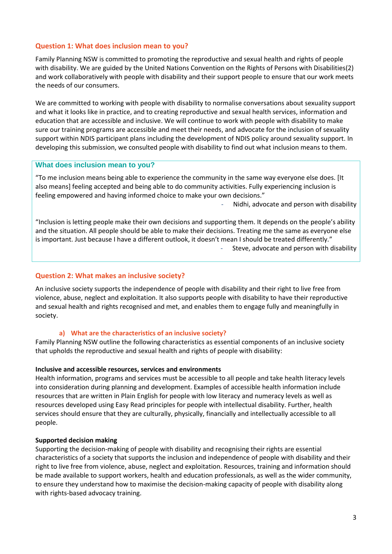## **Question 1: What does inclusion mean to you?**

Family Planning NSW is committed to promoting the reproductive and sexual health and rights of people with disability. We are guided by the United Nations Convention on the Rights of Persons with Disabilities(2) and work collaboratively with people with disability and their support people to ensure that our work meets the needs of our consumers.

We are committed to working with people with disability to normalise conversations about sexuality support and what it looks like in practice, and to creating reproductive and sexual health services, information and education that are accessible and inclusive. We will continue to work with people with disability to make sure our training programs are accessible and meet their needs, and advocate for the inclusion of sexuality support within NDIS participant plans including the development of NDIS policy around sexuality support. In developing this submission, we consulted people with disability to find out what inclusion means to them.

#### **What does inclusion mean to you?**

"To me inclusion means being able to experience the community in the same way everyone else does. [It also means] feeling accepted and being able to do community activities. Fully experiencing inclusion is feeling empowered and having informed choice to make your own decisions."

Nidhi, advocate and person with disability

"Inclusion is letting people make their own decisions and supporting them. It depends on the people's ability and the situation. All people should be able to make their decisions. Treating me the same as everyone else is important. Just because I have a different outlook, it doesn't mean I should be treated differently." Steve, advocate and person with disability

#### **Question 2: What makes an inclusive society?**

An inclusive society supports the independence of people with disability and their right to live free from violence, abuse, neglect and exploitation. It also supports people with disability to have their reproductive and sexual health and rights recognised and met, and enables them to engage fully and meaningfully in society.

#### **a) What are the characteristics of an inclusive society?**

Family Planning NSW outline the following characteristics as essential components of an inclusive society that upholds the reproductive and sexual health and rights of people with disability:

#### **Inclusive and accessible resources, services and environments**

Health information, programs and services must be accessible to all people and take health literacy levels into consideration during planning and development. Examples of accessible health information include resources that are written in Plain English for people with low literacy and numeracy levels as well as resources developed using Easy Read principles for people with intellectual disability. Further, health services should ensure that they are culturally, physically, financially and intellectually accessible to all people.

#### **Supported decision making**

Supporting the decision-making of people with disability and recognising their rights are essential characteristics of a society that supports the inclusion and independence of people with disability and their right to live free from violence, abuse, neglect and exploitation. Resources, training and information should be made available to support workers, health and education professionals, as well as the wider community, to ensure they understand how to maximise the decision-making capacity of people with disability along with rights-based advocacy training.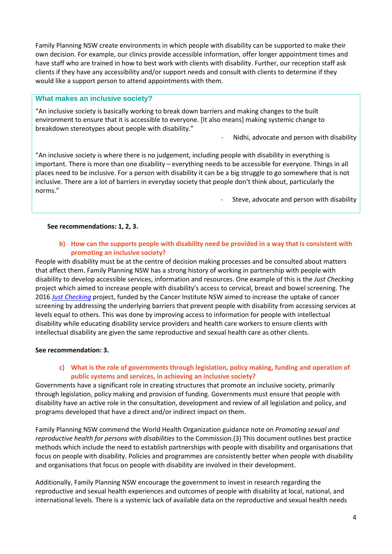Family Planning NSW create environments in which people with disability can be supported to make their own decision. For example, our clinics provide accessible information, offer longer appointment times and have staff who are trained in how to best work with clients with disability. Further, our reception staff ask clients if they have any accessibility and/or support needs and consult with clients to determine if they would like a support person to attend appointments with them.

### **What makes an inclusive society?**

"An inclusive society is basically working to break down barriers and making changes to the built environment to ensure that it is accessible to everyone. [It also means] making systemic change to breakdown stereotypes about people with disability."

Nidhi, advocate and person with disability

"An inclusive society is where there is no judgement, including people with disability in everything is important. There is more than one disability – everything needs to be accessible for everyone. Things in all places need to be inclusive. For a person with disability it can be a big struggle to go somewhere that is not inclusive. There are a lot of barriers in everyday society that people don't think about, particularly the norms."

Steve, advocate and person with disability

### **See recommendations: 1, 2, 3.**

### **b) How can the supports people with disability need be provided in a way that is consistent with promoting an inclusive society?**

People with disability must be at the centre of decision making processes and be consulted about matters that affect them. Family Planning NSW has a strong history of working in partnership with people with disability to develop accessible services, information and resources. One example of this is the *Just Checking*  project which aimed to increase people with disability's access to cervical, breast and bowel screening. The 2016 *[Just Checking](https://www.fpnsw.org.au/justchecking)* project, funded by the Cancer Institute NSW aimed to increase the uptake of cancer screening by addressing the underlying barriers that prevent people with disability from accessing services at levels equal to others. This was done by improving access to information for people with intellectual disability while educating disability service providers and health care workers to ensure clients with intellectual disability are given the same reproductive and sexual health care as other clients.

#### **See recommendation: 3.**

# **c) What is the role of governments through legislation, policy making, funding and operation of public systems and services, in achieving an inclusive society?**

Governments have a significant role in creating structures that promote an inclusive society, primarily through legislation, policy making and provision of funding. Governments must ensure that people with disability have an active role in the consultation, development and review of all legislation and policy, and programs developed that have a direct and/or indirect impact on them.

Family Planning NSW commend the World Health Organization guidance note on *Promoting sexual and reproductive health for persons with disabilities* to the Commission.(3) This document outlines best practice methods which include the need to establish partnerships with people with disability and organisations that focus on people with disability. Policies and programmes are consistently better when people with disability and organisations that focus on people with disability are involved in their development.

Additionally, Family Planning NSW encourage the government to invest in research regarding the reproductive and sexual health experiences and outcomes of people with disability at local, national, and international levels. There is a systemic lack of available data on the reproductive and sexual health needs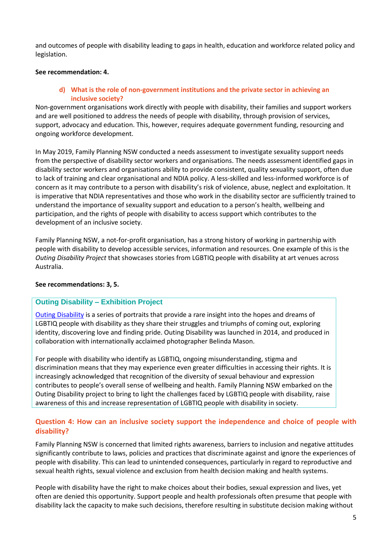and outcomes of people with disability leading to gaps in health, education and workforce related policy and legislation.

### **See recommendation: 4.**

**d) What is the role of non-government institutions and the private sector in achieving an inclusive society?**

Non-government organisations work directly with people with disability, their families and support workers and are well positioned to address the needs of people with disability, through provision of services, support, advocacy and education. This, however, requires adequate government funding, resourcing and ongoing workforce development.

In May 2019, Family Planning NSW conducted a needs assessment to investigate sexuality support needs from the perspective of disability sector workers and organisations. The needs assessment identified gaps in disability sector workers and organisations ability to provide consistent, quality sexuality support, often due to lack of training and clear organisational and NDIA policy. A less-skilled and less-informed workforce is of concern as it may contribute to a person with disability's risk of violence, abuse, neglect and exploitation. It is imperative that NDIA representatives and those who work in the disability sector are sufficiently trained to understand the importance of sexuality support and education to a person's health, wellbeing and participation, and the rights of people with disability to access support which contributes to the development of an inclusive society.

Family Planning NSW, a not-for-profit organisation, has a strong history of working in partnership with people with disability to develop accessible services, information and resources. One example of this is the *Outing Disability Project* that showcases stories from LGBTIQ people with disability at art venues across Australia.

#### **See recommendations: 3, 5.**

# **Outing Disability – Exhibition Project**

[Outing Disability](https://www.fpnsw.org.au/who-we-help/disability/disability-resources/outing-disability-photographic-journey) is a series of portraits that provide a rare insight into the hopes and dreams of LGBTIQ people with disability as they share their struggles and triumphs of coming out, exploring identity, discovering love and finding pride. Outing Disability was launched in 2014, and produced in collaboration with internationally acclaimed photographer Belinda Mason.

For people with disability who identify as LGBTIQ, ongoing misunderstanding, stigma and discrimination means that they may experience even greater difficulties in accessing their rights. It is increasingly acknowledged that recognition of the diversity of sexual behaviour and expression contributes to people's overall sense of wellbeing and health. Family Planning NSW embarked on the Outing Disability project to bring to light the challenges faced by LGBTIQ people with disability, raise awareness of this and increase representation of LGBTIQ people with disability in society.

# **Question 4: How can an inclusive society support the independence and choice of people with disability?**

Family Planning NSW is concerned that limited rights awareness, barriers to inclusion and negative attitudes significantly contribute to laws, policies and practices that discriminate against and ignore the experiences of people with disability. This can lead to unintended consequences, particularly in regard to reproductive and sexual health rights, sexual violence and exclusion from health decision making and health systems.

People with disability have the right to make choices about their bodies, sexual expression and lives, yet often are denied this opportunity. Support people and health professionals often presume that people with disability lack the capacity to make such decisions, therefore resulting in substitute decision making without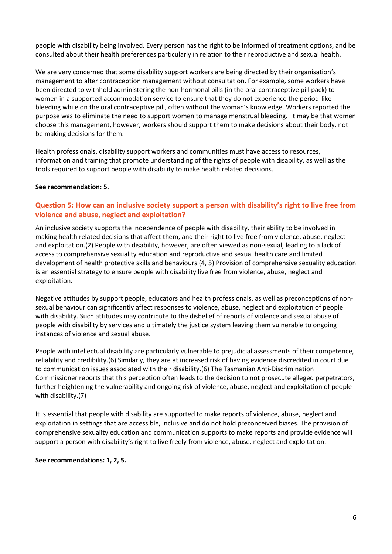people with disability being involved. Every person has the right to be informed of treatment options, and be consulted about their health preferences particularly in relation to their reproductive and sexual health.

We are very concerned that some disability support workers are being directed by their organisation's management to alter contraception management without consultation. For example, some workers have been directed to withhold administering the non-hormonal pills (in the oral contraceptive pill pack) to women in a supported accommodation service to ensure that they do not experience the period-like bleeding while on the oral contraceptive pill, often without the woman's knowledge. Workers reported the purpose was to eliminate the need to support women to manage menstrual bleeding. It may be that women choose this management, however, workers should support them to make decisions about their body, not be making decisions for them.

Health professionals, disability support workers and communities must have access to resources, information and training that promote understanding of the rights of people with disability, as well as the tools required to support people with disability to make health related decisions.

### **See recommendation: 5.**

# **Question 5: How can an inclusive society support a person with disability's right to live free from violence and abuse, neglect and exploitation?**

An inclusive society supports the independence of people with disability, their ability to be involved in making health related decisions that affect them, and their right to live free from violence, abuse, neglect and exploitation.(2) People with disability, however, are often viewed as non-sexual, leading to a lack of access to comprehensive sexuality education and reproductive and sexual health care and limited development of health protective skills and behaviours.(4, 5) Provision of comprehensive sexuality education is an essential strategy to ensure people with disability live free from violence, abuse, neglect and exploitation.

Negative attitudes by support people, educators and health professionals, as well as preconceptions of nonsexual behaviour can significantly affect responses to violence, abuse, neglect and exploitation of people with disability. Such attitudes may contribute to the disbelief of reports of violence and sexual abuse of people with disability by services and ultimately the justice system leaving them vulnerable to ongoing instances of violence and sexual abuse.

People with intellectual disability are particularly vulnerable to prejudicial assessments of their competence, reliability and credibility.(6) Similarly, they are at increased risk of having evidence discredited in court due to communication issues associated with their disability.(6) The Tasmanian Anti-Discrimination Commissioner reports that this perception often leads to the decision to not prosecute alleged perpetrators, further heightening the vulnerability and ongoing risk of violence, abuse, neglect and exploitation of people with disability.(7)

It is essential that people with disability are supported to make reports of violence, abuse, neglect and exploitation in settings that are accessible, inclusive and do not hold preconceived biases. The provision of comprehensive sexuality education and communication supports to make reports and provide evidence will support a person with disability's right to live freely from violence, abuse, neglect and exploitation.

#### **See recommendations: 1, 2, 5.**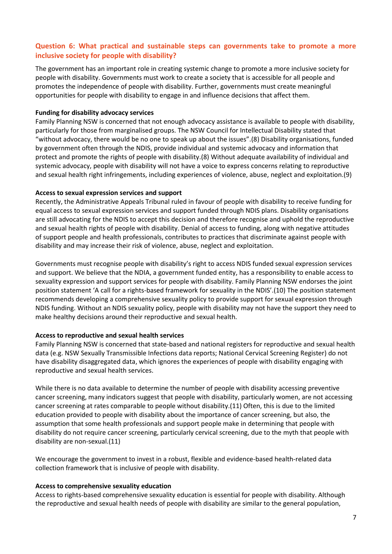# **Question 6: What practical and sustainable steps can governments take to promote a more inclusive society for people with disability?**

The government has an important role in creating systemic change to promote a more inclusive society for people with disability. Governments must work to create a society that is accessible for all people and promotes the independence of people with disability. Further, governments must create meaningful opportunities for people with disability to engage in and influence decisions that affect them.

#### **Funding for disability advocacy services**

Family Planning NSW is concerned that not enough advocacy assistance is available to people with disability, particularly for those from marginalised groups. The NSW Council for Intellectual Disability stated that "without advocacy, there would be no one to speak up about the issues".(8) Disability organisations, funded by government often through the NDIS, provide individual and systemic advocacy and information that protect and promote the rights of people with disability.(8) Without adequate availability of individual and systemic advocacy, people with disability will not have a voice to express concerns relating to reproductive and sexual health right infringements, including experiences of violence, abuse, neglect and exploitation.(9)

#### **Access to sexual expression services and support**

Recently, the Administrative Appeals Tribunal ruled in favour of people with disability to receive funding for equal access to sexual expression services and support funded through NDIS plans. Disability organisations are still advocating for the NDIS to accept this decision and therefore recognise and uphold the reproductive and sexual health rights of people with disability. Denial of access to funding, along with negative attitudes of support people and health professionals, contributes to practices that discriminate against people with disability and may increase their risk of violence, abuse, neglect and exploitation.

Governments must recognise people with disability's right to access NDIS funded sexual expression services and support. We believe that the NDIA, a government funded entity, has a responsibility to enable access to sexuality expression and support services for people with disability. Family Planning NSW endorses the joint position statement 'A call for a rights-based framework for sexuality in the NDIS'.(10) The position statement recommends developing a comprehensive sexuality policy to provide support for sexual expression through NDIS funding. Without an NDIS sexuality policy, people with disability may not have the support they need to make healthy decisions around their reproductive and sexual health.

#### **Access to reproductive and sexual health services**

Family Planning NSW is concerned that state-based and national registers for reproductive and sexual health data (e.g. NSW Sexually Transmissible Infections data reports; National Cervical Screening Register) do not have disability disaggregated data, which ignores the experiences of people with disability engaging with reproductive and sexual health services.

While there is no data available to determine the number of people with disability accessing preventive cancer screening, many indicators suggest that people with disability, particularly women, are not accessing cancer screening at rates comparable to people without disability.(11) Often, this is due to the limited education provided to people with disability about the importance of cancer screening, but also, the assumption that some health professionals and support people make in determining that people with disability do not require cancer screening, particularly cervical screening, due to the myth that people with disability are non-sexual.(11)

We encourage the government to invest in a robust, flexible and evidence-based health-related data collection framework that is inclusive of people with disability.

#### **Access to comprehensive sexuality education**

Access to rights-based comprehensive sexuality education is essential for people with disability. Although the reproductive and sexual health needs of people with disability are similar to the general population,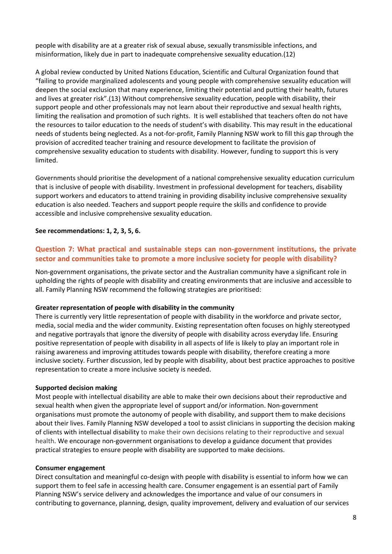people with disability are at a greater risk of sexual abuse, sexually transmissible infections, and misinformation, likely due in part to inadequate comprehensive sexuality education.(12)

A global review conducted by United Nations Education, Scientific and Cultural Organization found that "failing to provide marginalized adolescents and young people with comprehensive sexuality education will deepen the social exclusion that many experience, limiting their potential and putting their health, futures and lives at greater risk".(13) Without comprehensive sexuality education, people with disability, their support people and other professionals may not learn about their reproductive and sexual health rights, limiting the realisation and promotion of such rights. It is well established that teachers often do not have the resources to tailor education to the needs of student's with disability. This may result in the educational needs of students being neglected. As a not-for-profit, Family Planning NSW work to fill this gap through the provision of accredited teacher training and resource development to facilitate the provision of comprehensive sexuality education to students with disability. However, funding to support this is very limited.

Governments should prioritise the development of a national comprehensive sexuality education curriculum that is inclusive of people with disability. Investment in professional development for teachers, disability support workers and educators to attend training in providing disability inclusive comprehensive sexuality education is also needed. Teachers and support people require the skills and confidence to provide accessible and inclusive comprehensive sexuality education.

### **See recommendations: 1, 2, 3, 5, 6.**

# **Question 7: What practical and sustainable steps can non-government institutions, the private sector and communities take to promote a more inclusive society for people with disability?**

Non-government organisations, the private sector and the Australian community have a significant role in upholding the rights of people with disability and creating environments that are inclusive and accessible to all. Family Planning NSW recommend the following strategies are prioritised:

#### **Greater representation of people with disability in the community**

There is currently very little representation of people with disability in the workforce and private sector, media, social media and the wider community. Existing representation often focuses on highly stereotyped and negative portrayals that ignore the diversity of people with disability across everyday life. Ensuring positive representation of people with disability in all aspects of life is likely to play an important role in raising awareness and improving attitudes towards people with disability, therefore creating a more inclusive society. Further discussion, led by people with disability, about best practice approaches to positive representation to create a more inclusive society is needed.

#### **Supported decision making**

Most people with intellectual disability are able to make their own decisions about their reproductive and sexual health when given the appropriate level of support and/or information. Non-government organisations must promote the autonomy of people with disability, and support them to make decisions about their lives. Family Planning NSW developed a tool to assist clinicians in supporting the decision making of clients with intellectual disability to make their own decisions relating to their reproductive and sexual health. We encourage non-government organisations to develop a guidance document that provides practical strategies to ensure people with disability are supported to make decisions.

#### **Consumer engagement**

Direct consultation and meaningful co-design with people with disability is essential to inform how we can support them to feel safe in accessing health care. Consumer engagement is an essential part of Family Planning NSW's service delivery and acknowledges the importance and value of our consumers in contributing to governance, planning, design, quality improvement, delivery and evaluation of our services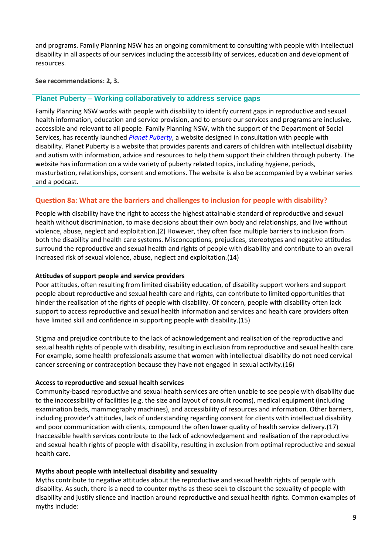and programs. Family Planning NSW has an ongoing commitment to consulting with people with intellectual disability in all aspects of our services including the accessibility of services, education and development of resources.

**See recommendations: 2, 3.**

# **Planet Puberty – Working collaboratively to address service gaps**

Family Planning NSW works with people with disability to identify current gaps in reproductive and sexual health information, education and service provision, and to ensure our services and programs are inclusive, accessible and relevant to all people. Family Planning NSW, with the support of the Department of Social Services, has recently launched *[Planet Puberty](https://www.planetpuberty.org.au/)*, a website designed in consultation with people with disability. Planet Puberty is a website that provides parents and carers of children with intellectual disability and autism with information, advice and resources to help them support their children through puberty. The website has information on a wide variety of puberty related topics, including hygiene, periods, masturbation, relationships, consent and emotions. The website is also be accompanied by a webinar series and a podcast.

# **Question 8a: What are the barriers and challenges to inclusion for people with disability?**

People with disability have the right to access the highest attainable standard of reproductive and sexual health without discrimination, to make decisions about their own body and relationships, and live without violence, abuse, neglect and exploitation.(2) However, they often face multiple barriers to inclusion from both the disability and health care systems. Misconceptions, prejudices, stereotypes and negative attitudes surround the reproductive and sexual health and rights of people with disability and contribute to an overall increased risk of sexual violence, abuse, neglect and exploitation.(14)

### **Attitudes of support people and service providers**

Poor attitudes, often resulting from limited disability education, of disability support workers and support people about reproductive and sexual health care and rights, can contribute to limited opportunities that hinder the realisation of the rights of people with disability. Of concern, people with disability often lack support to access reproductive and sexual health information and services and health care providers often have limited skill and confidence in supporting people with disability.(15)

Stigma and prejudice contribute to the lack of acknowledgement and realisation of the reproductive and sexual health rights of people with disability, resulting in exclusion from reproductive and sexual health care. For example, some health professionals assume that women with intellectual disability do not need cervical cancer screening or contraception because they have not engaged in sexual activity.(16)

#### **Access to reproductive and sexual health services**

Community-based reproductive and sexual health services are often unable to see people with disability due to the inaccessibility of facilities (e.g. the size and layout of consult rooms), medical equipment (including examination beds, mammography machines), and accessibility of resources and information. Other barriers, including provider's attitudes, lack of understanding regarding consent for clients with intellectual disability and poor communication with clients, compound the often lower quality of health service delivery.(17) Inaccessible health services contribute to the lack of acknowledgement and realisation of the reproductive and sexual health rights of people with disability, resulting in exclusion from optimal reproductive and sexual health care.

# **Myths about people with intellectual disability and sexuality**

Myths contribute to negative attitudes about the reproductive and sexual health rights of people with disability. As such, there is a need to counter myths as these seek to discount the sexuality of people with disability and justify silence and inaction around reproductive and sexual health rights. Common examples of myths include: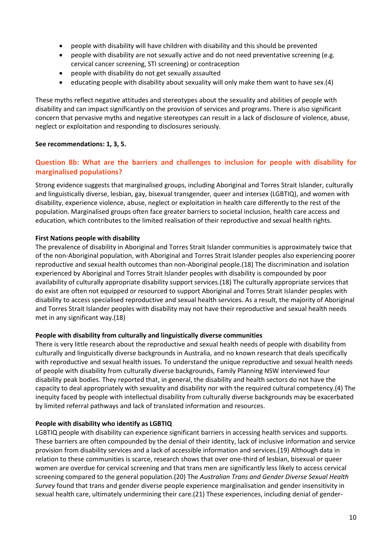- people with disability will have children with disability and this should be prevented
- people with disability are not sexually active and do not need preventative screening (e.g. cervical cancer screening, STI screening) or contraception
- people with disability do not get sexually assaulted
- educating people with disability about sexuality will only make them want to have sex.(4)

These myths reflect negative attitudes and stereotypes about the sexuality and abilities of people with disability and can impact significantly on the provision of services and programs. There is also significant concern that pervasive myths and negative stereotypes can result in a lack of disclosure of violence, abuse, neglect or exploitation and responding to disclosures seriously.

# **See recommendations: 1, 3, 5.**

# **Question 8b: What are the barriers and challenges to inclusion for people with disability for marginalised populations?**

Strong evidence suggests that marginalised groups, including Aboriginal and Torres Strait Islander, culturally and linguistically diverse, lesbian, gay, bisexual transgender, queer and intersex (LGBTIQ), and women with disability, experience violence, abuse, neglect or exploitation in health care differently to the rest of the population. Marginalised groups often face greater barriers to societal inclusion, health care access and education, which contributes to the limited realisation of their reproductive and sexual health rights.

# **First Nations people with disability**

The prevalence of disability in Aboriginal and Torres Strait Islander communities is approximately twice that of the non-Aboriginal population, with Aboriginal and Torres Strait Islander peoples also experiencing poorer reproductive and sexual health outcomes than non-Aboriginal people.(18) The discrimination and isolation experienced by Aboriginal and Torres Strait Islander peoples with disability is compounded by poor availability of culturally appropriate disability support services.(18) The culturally appropriate services that do exist are often not equipped or resourced to support Aboriginal and Torres Strait Islander peoples with disability to access specialised reproductive and sexual health services. As a result, the majority of Aboriginal and Torres Strait Islander peoples with disability may not have their reproductive and sexual health needs met in any significant way.(18)

# **People with disability from culturally and linguistically diverse communities**

There is very little research about the reproductive and sexual health needs of people with disability from culturally and linguistically diverse backgrounds in Australia, and no known research that deals specifically with reproductive and sexual health issues. To understand the unique reproductive and sexual health needs of people with disability from culturally diverse backgrounds, Family Planning NSW interviewed four disability peak bodies. They reported that, in general, the disability and health sectors do not have the capacity to deal appropriately with sexuality and disability nor with the required cultural competency.(4) The inequity faced by people with intellectual disability from culturally diverse backgrounds may be exacerbated by limited referral pathways and lack of translated information and resources.

# **People with disability who identify as LGBTIQ**

LGBTIQ people with disability can experience significant barriers in accessing health services and supports. These barriers are often compounded by the denial of their identity, lack of inclusive information and service provision from disability services and a lack of accessible information and services.(19) Although data in relation to these communities is scarce, research shows that over one-third of lesbian, bisexual or queer women are overdue for cervical screening and that trans men are significantly less likely to access cervical screening compared to the general population.(20) The *Australian Trans and Gender Diverse Sexual Health Survey* found that trans and gender diverse people experience marginalisation and gender insensitivity in sexual health care, ultimately undermining their care.(21) These experiences, including denial of gender